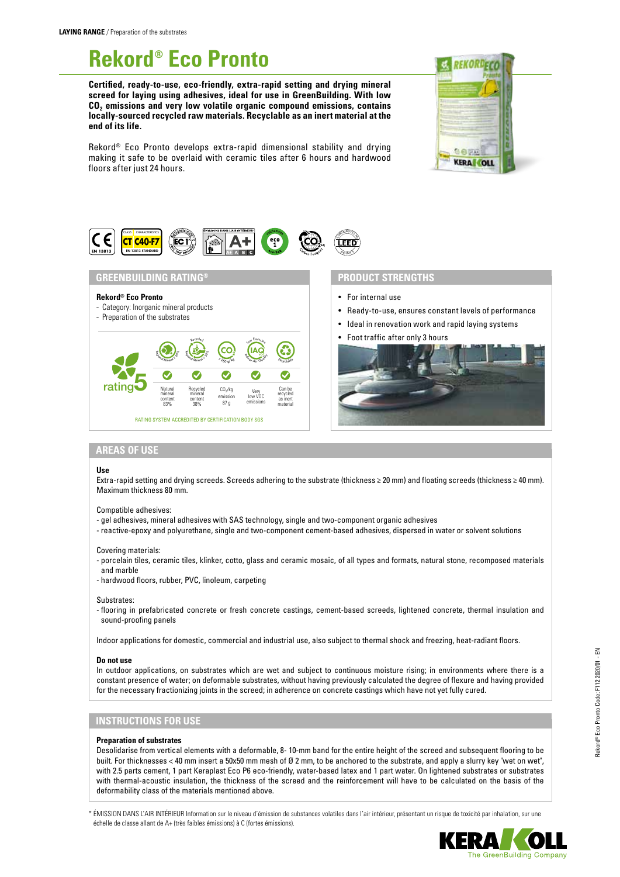# **Rekord® Eco Pronto**

**Certified, ready-to-use, eco-friendly, extra-rapid setting and drying mineral screed for laying using adhesives, ideal for use in GreenBuilding. With low CO2 emissions and very low volatile organic compound emissions, contains locally-sourced recycled raw materials. Recyclable as an inert material at the end of its life.**



Rekord® Eco Pronto develops extra-rapid dimensional stability and drying making it safe to be overlaid with ceramic tiles after 6 hours and hardwood floors after just 24 hours.



## **GREENBUILDING RATING®**

## **Rekord® Eco Pronto**

- Category: Inorganic mineral products

## - Preparation of the substrates



## **PRODUCT STRENGTHS**

- For internal use
- Ready-to-use, ensures constant levels of performance
- Ideal in renovation work and rapid laying systems
- Foot traffic after only 3 hours



## **AREAS OF USE**

#### **Use**

Extra-rapid setting and drying screeds. Screeds adhering to the substrate (thickness ≥ 20 mm) and floating screeds (thickness ≥ 40 mm). Maximum thickness 80 mm.

#### Compatible adhesives:

- gel adhesives, mineral adhesives with SAS technology, single and two-component organic adhesives
- reactive-epoxy and polyurethane, single and two-component cement-based adhesives, dispersed in water or solvent solutions

Covering materials:

- porcelain tiles, ceramic tiles, klinker, cotto, glass and ceramic mosaic, of all types and formats, natural stone, recomposed materials and marble
- hardwood floors, rubber, PVC, linoleum, carpeting

#### Substrates:

- flooring in prefabricated concrete or fresh concrete castings, cement-based screeds, lightened concrete, thermal insulation and sound-proofing panels

Indoor applications for domestic, commercial and industrial use, also subject to thermal shock and freezing, heat-radiant floors.

#### **Do not use**

In outdoor applications, on substrates which are wet and subject to continuous moisture rising; in environments where there is a constant presence of water; on deformable substrates, without having previously calculated the degree of flexure and having provided for the necessary fractionizing joints in the screed; in adherence on concrete castings which have not yet fully cured.

## **INSTRUCTIONS FOR USE**

#### **Preparation of substrates**

Desolidarise from vertical elements with a deformable, 8- 10-mm band for the entire height of the screed and subsequent flooring to be built. For thicknesses < 40 mm insert a 50x50 mm mesh of Ø 2 mm, to be anchored to the substrate, and apply a slurry key "wet on wet", with 2.5 parts cement, 1 part Keraplast Eco P6 eco-friendly, water-based latex and 1 part water. On lightened substrates or substrates with thermal-acoustic insulation, the thickness of the screed and the reinforcement will have to be calculated on the basis of the deformability class of the materials mentioned above.

\* ÉMISSION DANS L'AIR INTÉRIEUR Information sur le niveau d'émission de substances volatiles dans l'air intérieur, présentant un risque de toxicité par inhalation, sur une échelle de classe allant de A+ (très faibles émissions) à C (fortes émissions).



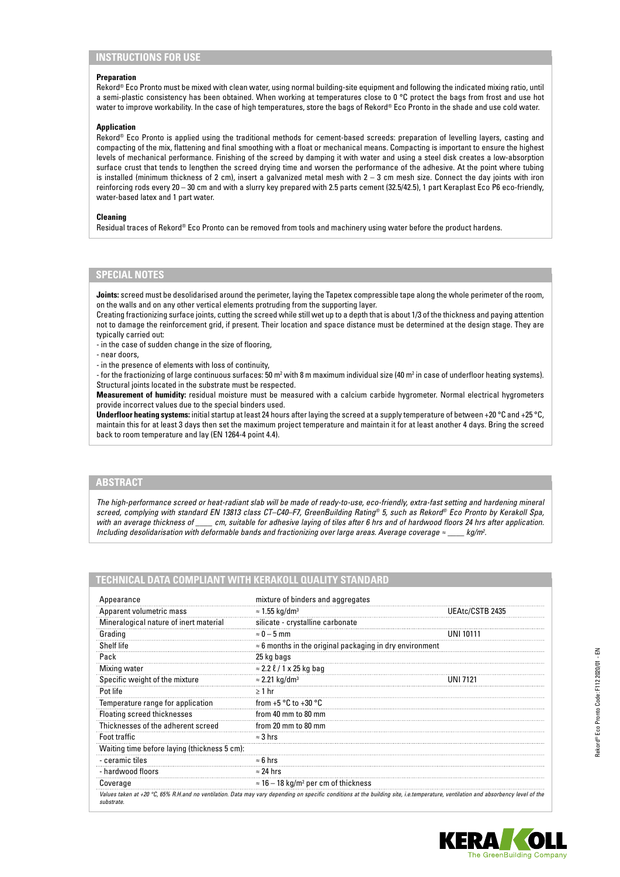## **INSTRUCTIONS FOR USE**

#### **Preparation**

Rekord® Eco Pronto must be mixed with clean water, using normal building-site equipment and following the indicated mixing ratio, until a semi-plastic consistency has been obtained. When working at temperatures close to 0 °C protect the bags from frost and use hot water to improve workability. In the case of high temperatures, store the bags of Rekord® Eco Pronto in the shade and use cold water.

#### **Application**

Rekord® Eco Pronto is applied using the traditional methods for cement-based screeds: preparation of levelling layers, casting and compacting of the mix, flattening and final smoothing with a float or mechanical means. Compacting is important to ensure the highest levels of mechanical performance. Finishing of the screed by damping it with water and using a steel disk creates a low-absorption surface crust that tends to lengthen the screed drying time and worsen the performance of the adhesive. At the point where tubing is installed (minimum thickness of 2 cm), insert a galvanized metal mesh with  $2 - 3$  cm mesh size. Connect the day joints with iron reinforcing rods every 20 – 30 cm and with a slurry key prepared with 2.5 parts cement (32.5/42.5), 1 part Keraplast Eco P6 eco-friendly, water-based latex and 1 part water.

#### **Cleaning**

Residual traces of Rekord® Eco Pronto can be removed from tools and machinery using water before the product hardens.

## **SPECIAL NOTES**

**Joints:** screed must be desolidarised around the perimeter, laying the Tapetex compressible tape along the whole perimeter of the room, on the walls and on any other vertical elements protruding from the supporting layer.

Creating fractionizing surface joints, cutting the screed while still wet up to a depth that is about 1/3 of the thickness and paying attention not to damage the reinforcement grid, if present. Their location and space distance must be determined at the design stage. They are typically carried out:

- in the case of sudden change in the size of flooring,

- near doors,

- in the presence of elements with loss of continuity,

- for the fractionizing of large continuous surfaces: 50 m² with 8 m maximum individual size (40 m² in case of underfloor heating systems). Structural joints located in the substrate must be respected.

**Measurement of humidity:** residual moisture must be measured with a calcium carbide hygrometer. Normal electrical hygrometers provide incorrect values due to the special binders used.

**Underfloor heating systems:** initial startup at least 24 hours after laying the screed at a supply temperature of between +20 °C and +25 °C, maintain this for at least 3 days then set the maximum project temperature and maintain it for at least another 4 days. Bring the screed back to room temperature and lay (EN 1264-4 point 4.4).

## **ABSTRACT**

*The high-performance screed or heat-radiant slab will be made of ready-to-use, eco-friendly, extra-fast setting and hardening mineral screed, complying with standard EN 13813 class CT–C40–F7, GreenBuilding Rating® 5, such as Rekord® Eco Pronto by Kerakoll Spa, with an average thickness of \_\_\_\_ cm, suitable for adhesive laying of tiles after 6 hrs and of hardwood floors 24 hrs after application. Including desolidarisation with deformable bands and fractionizing over large areas. Average coverage ≈ \_\_\_\_ kg/m2 .*

## **TECHNICAL DATA COMPLIANT WITH KERAKOLL QUALITY STANDARD**

| Appearance                                   | mixture of binders and aggregates                               |                  |
|----------------------------------------------|-----------------------------------------------------------------|------------------|
| Apparent volumetric mass                     | $\approx$ 1.55 kg/dm <sup>3</sup>                               | UEAtc/CSTB 2435  |
| Mineralogical nature of inert material       | silicate - crystalline carbonate                                |                  |
| Grading                                      | $\approx$ 0 – 5 mm                                              | <b>UNI 10111</b> |
| Shelf life                                   | $\approx$ 6 months in the original packaging in dry environment |                  |
| Pack                                         | 25 kg bags                                                      |                  |
| Mixing water                                 | $\approx$ 2.2 $\ell$ / 1 x 25 kg bag                            |                  |
| Specific weight of the mixture               | $\approx$ 2.21 kg/dm <sup>3</sup>                               | UNI 7121         |
| Pot life                                     | $\geq 1$ hr                                                     |                  |
| Temperature range for application            | from $+5 °C$ to $+30 °C$                                        |                  |
| <b>Floating screed thicknesses</b>           | from 40 mm to 80 mm                                             |                  |
| Thicknesses of the adherent screed           | from 20 mm to 80 mm                                             |                  |
| Foot traffic                                 | $\approx$ 3 hrs                                                 |                  |
| Waiting time before laying (thickness 5 cm): |                                                                 |                  |
| - ceramic tiles                              | $\approx 6$ hrs                                                 |                  |
| - hardwood floors                            | $\approx$ 24 hrs                                                |                  |
| Coverage                                     | $\approx$ 16 – 18 kg/m <sup>2</sup> per cm of thickness         |                  |